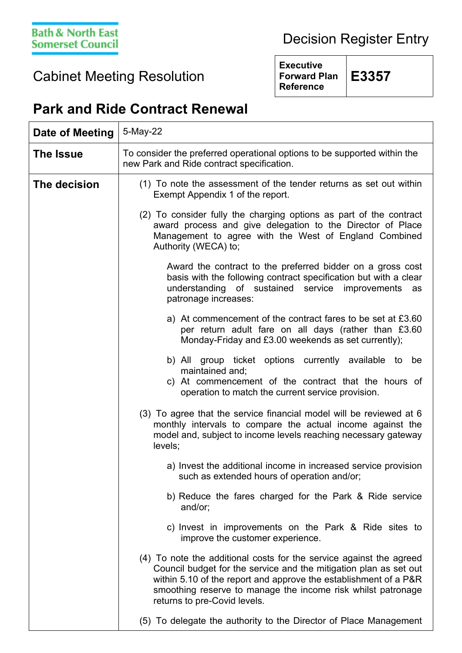## Decision Register Entry

## Cabinet Meeting Resolution

**Executive Forward Plan Reference**

**E3357**

## **Park and Ride Contract Renewal**

| Date of Meeting | 5-May-22                                                                                                                                                                                                                                                                                                     |
|-----------------|--------------------------------------------------------------------------------------------------------------------------------------------------------------------------------------------------------------------------------------------------------------------------------------------------------------|
| The Issue       | To consider the preferred operational options to be supported within the<br>new Park and Ride contract specification.                                                                                                                                                                                        |
| The decision    | (1) To note the assessment of the tender returns as set out within<br>Exempt Appendix 1 of the report.                                                                                                                                                                                                       |
|                 | (2) To consider fully the charging options as part of the contract<br>award process and give delegation to the Director of Place<br>Management to agree with the West of England Combined<br>Authority (WECA) to;                                                                                            |
|                 | Award the contract to the preferred bidder on a gross cost<br>basis with the following contract specification but with a clear<br>understanding of sustained service improvements<br>as<br>patronage increases:                                                                                              |
|                 | a) At commencement of the contract fares to be set at £3.60<br>per return adult fare on all days (rather than £3.60<br>Monday-Friday and £3.00 weekends as set currently);                                                                                                                                   |
|                 | b) All<br>group ticket options currently available to<br>be<br>maintained and;<br>c) At commencement of the contract that the hours of<br>operation to match the current service provision.                                                                                                                  |
|                 | (3) To agree that the service financial model will be reviewed at 6<br>monthly intervals to compare the actual income against the<br>model and, subject to income levels reaching necessary gateway<br>levels;                                                                                               |
|                 | a) Invest the additional income in increased service provision<br>such as extended hours of operation and/or;                                                                                                                                                                                                |
|                 | b) Reduce the fares charged for the Park & Ride service<br>and/or;                                                                                                                                                                                                                                           |
|                 | c) Invest in improvements on the Park & Ride sites to<br>improve the customer experience.                                                                                                                                                                                                                    |
|                 | (4) To note the additional costs for the service against the agreed<br>Council budget for the service and the mitigation plan as set out<br>within 5.10 of the report and approve the establishment of a P&R<br>smoothing reserve to manage the income risk whilst patronage<br>returns to pre-Covid levels. |
|                 | (5) To delegate the authority to the Director of Place Management                                                                                                                                                                                                                                            |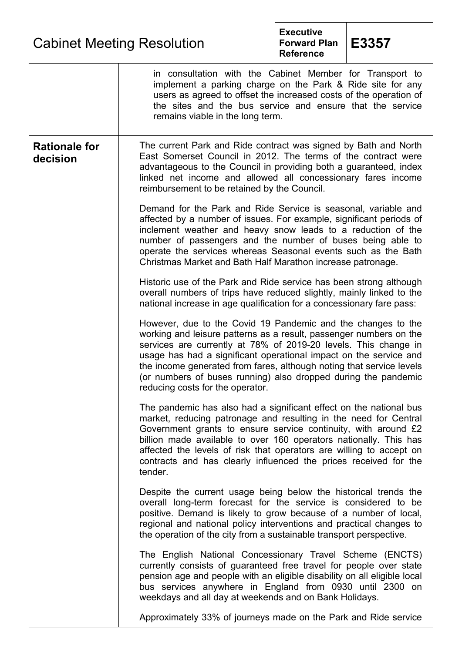| <b>Cabinet Meeting Resolution</b> |  |
|-----------------------------------|--|
|-----------------------------------|--|



|                                  | in consultation with the Cabinet Member for Transport to<br>implement a parking charge on the Park & Ride site for any<br>users as agreed to offset the increased costs of the operation of<br>the sites and the bus service and ensure that the service<br>remains viable in the long term.                                                                                                                                                             |
|----------------------------------|----------------------------------------------------------------------------------------------------------------------------------------------------------------------------------------------------------------------------------------------------------------------------------------------------------------------------------------------------------------------------------------------------------------------------------------------------------|
| <b>Rationale for</b><br>decision | The current Park and Ride contract was signed by Bath and North<br>East Somerset Council in 2012. The terms of the contract were<br>advantageous to the Council in providing both a guaranteed, index<br>linked net income and allowed all concessionary fares income<br>reimbursement to be retained by the Council.                                                                                                                                    |
|                                  | Demand for the Park and Ride Service is seasonal, variable and<br>affected by a number of issues. For example, significant periods of<br>inclement weather and heavy snow leads to a reduction of the<br>number of passengers and the number of buses being able to<br>operate the services whereas Seasonal events such as the Bath<br>Christmas Market and Bath Half Marathon increase patronage.                                                      |
|                                  | Historic use of the Park and Ride service has been strong although<br>overall numbers of trips have reduced slightly, mainly linked to the<br>national increase in age qualification for a concessionary fare pass:                                                                                                                                                                                                                                      |
|                                  | However, due to the Covid 19 Pandemic and the changes to the<br>working and leisure patterns as a result, passenger numbers on the<br>services are currently at 78% of 2019-20 levels. This change in<br>usage has had a significant operational impact on the service and<br>the income generated from fares, although noting that service levels<br>(or numbers of buses running) also dropped during the pandemic<br>reducing costs for the operator. |
|                                  | The pandemic has also had a significant effect on the national bus<br>market, reducing patronage and resulting in the need for Central<br>Government grants to ensure service continuity, with around £2<br>billion made available to over 160 operators nationally. This has<br>affected the levels of risk that operators are willing to accept on<br>contracts and has clearly influenced the prices received for the<br>tender.                      |
|                                  | Despite the current usage being below the historical trends the<br>overall long-term forecast for the service is considered to be<br>positive. Demand is likely to grow because of a number of local,<br>regional and national policy interventions and practical changes to<br>the operation of the city from a sustainable transport perspective.                                                                                                      |
|                                  | The English National Concessionary Travel Scheme (ENCTS)<br>currently consists of guaranteed free travel for people over state<br>pension age and people with an eligible disability on all eligible local<br>bus services anywhere in England from 0930 until 2300 on<br>weekdays and all day at weekends and on Bank Holidays.                                                                                                                         |
|                                  | Approximately 33% of journeys made on the Park and Ride service                                                                                                                                                                                                                                                                                                                                                                                          |